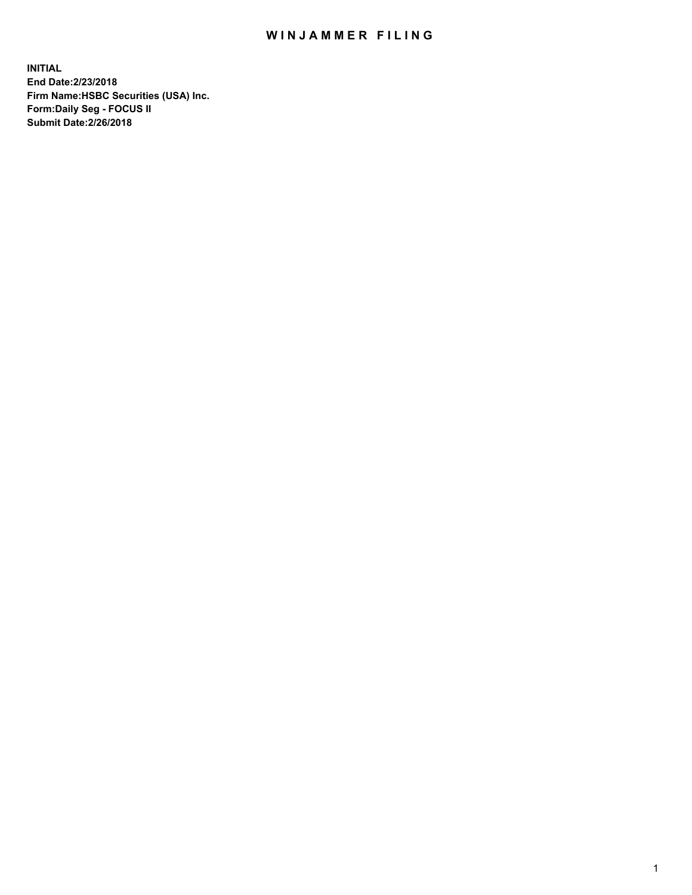## WIN JAMMER FILING

**INITIAL End Date:2/23/2018 Firm Name:HSBC Securities (USA) Inc. Form:Daily Seg - FOCUS II Submit Date:2/26/2018**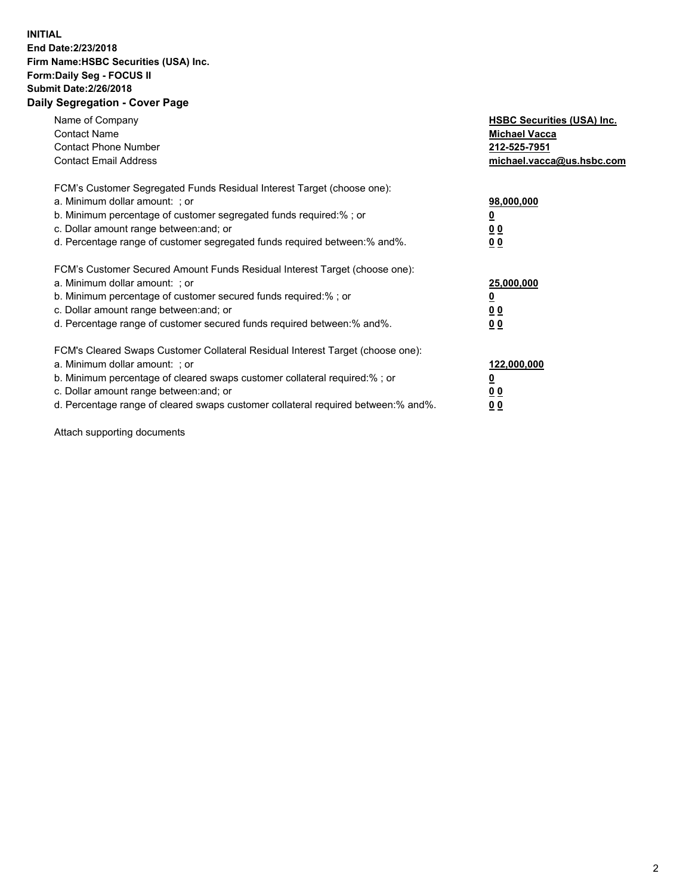## **INITIAL End Date:2/23/2018 Firm Name:HSBC Securities (USA) Inc. Form:Daily Seg - FOCUS II Submit Date:2/26/2018 Daily Segregation - Cover Page**

| Name of Company<br><b>Contact Name</b><br><b>Contact Phone Number</b><br><b>Contact Email Address</b>                                                                                                                                                                                                                         | <b>HSBC Securities (USA) Inc.</b><br><b>Michael Vacca</b><br>212-525-7951<br>michael.vacca@us.hsbc.com |
|-------------------------------------------------------------------------------------------------------------------------------------------------------------------------------------------------------------------------------------------------------------------------------------------------------------------------------|--------------------------------------------------------------------------------------------------------|
| FCM's Customer Segregated Funds Residual Interest Target (choose one):<br>a. Minimum dollar amount: ; or<br>b. Minimum percentage of customer segregated funds required:%; or<br>c. Dollar amount range between: and; or<br>d. Percentage range of customer segregated funds required between: % and %.                       | 98,000,000<br><u>0</u><br><u>00</u><br><u>00</u>                                                       |
| FCM's Customer Secured Amount Funds Residual Interest Target (choose one):<br>a. Minimum dollar amount: ; or<br>b. Minimum percentage of customer secured funds required:%; or<br>c. Dollar amount range between: and; or<br>d. Percentage range of customer secured funds required between: % and %.                         | 25,000,000<br><u>0</u><br><u>00</u><br>00                                                              |
| FCM's Cleared Swaps Customer Collateral Residual Interest Target (choose one):<br>a. Minimum dollar amount: ; or<br>b. Minimum percentage of cleared swaps customer collateral required:%; or<br>c. Dollar amount range between: and; or<br>d. Percentage range of cleared swaps customer collateral required between:% and%. | 122,000,000<br><u>0</u><br><u>00</u><br><u>00</u>                                                      |

Attach supporting documents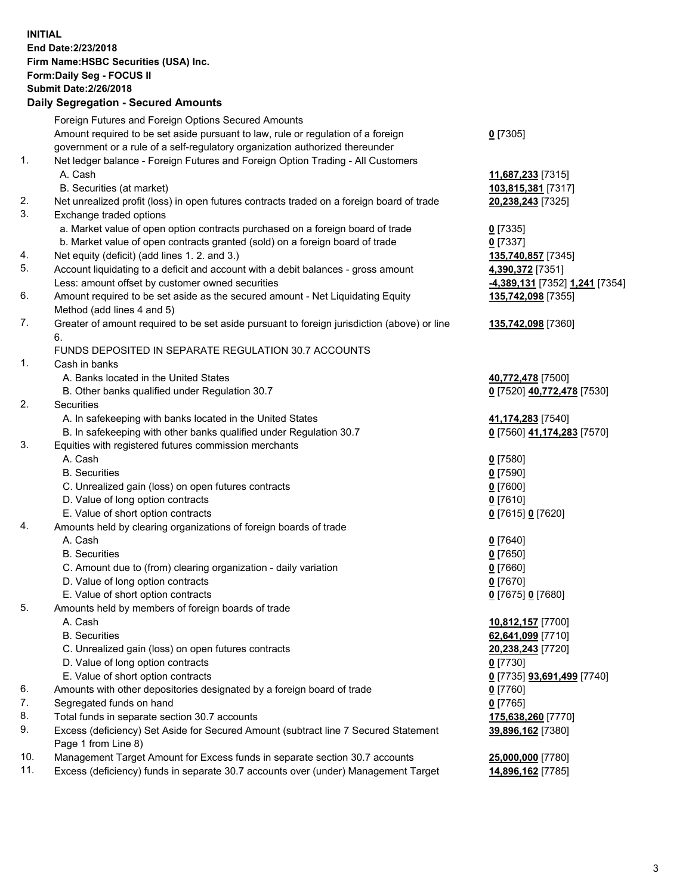**INITIAL End Date:2/23/2018 Firm Name:HSBC Securities (USA) Inc. Form:Daily Seg - FOCUS II Submit Date:2/26/2018 Daily Segregation - Secured Amounts**

Foreign Futures and Foreign Options Secured Amounts Amount required to be set aside pursuant to law, rule or regulation of a foreign government or a rule of a self-regulatory organization authorized thereunder **0** [7305] 1. Net ledger balance - Foreign Futures and Foreign Option Trading - All Customers A. Cash **11,687,233** [7315] B. Securities (at market) **103,815,381** [7317] 2. Net unrealized profit (loss) in open futures contracts traded on a foreign board of trade **20,238,243** [7325] 3. Exchange traded options a. Market value of open option contracts purchased on a foreign board of trade **0** [7335] b. Market value of open contracts granted (sold) on a foreign board of trade **0** [7337] 4. Net equity (deficit) (add lines 1. 2. and 3.) **135,740,857** [7345] 5. Account liquidating to a deficit and account with a debit balances - gross amount **4,390,372** [7351] Less: amount offset by customer owned securities **-4,389,131** [7352] **1,241** [7354] 6. Amount required to be set aside as the secured amount - Net Liquidating Equity Method (add lines 4 and 5) **135,742,098** [7355] 7. Greater of amount required to be set aside pursuant to foreign jurisdiction (above) or line 6. **135,742,098** [7360] FUNDS DEPOSITED IN SEPARATE REGULATION 30.7 ACCOUNTS 1. Cash in banks A. Banks located in the United States **40,772,478** [7500] B. Other banks qualified under Regulation 30.7 **0** [7520] **40,772,478** [7530] 2. Securities A. In safekeeping with banks located in the United States **41,174,283** [7540] B. In safekeeping with other banks qualified under Regulation 30.7 **0** [7560] **41,174,283** [7570] 3. Equities with registered futures commission merchants A. Cash **0** [7580] B. Securities **0** [7590] C. Unrealized gain (loss) on open futures contracts **0** [7600] D. Value of long option contracts **0** [7610] E. Value of short option contracts **0** [7615] **0** [7620] 4. Amounts held by clearing organizations of foreign boards of trade A. Cash **0** [7640] B. Securities **0** [7650] C. Amount due to (from) clearing organization - daily variation **0** [7660] D. Value of long option contracts **0** [7670] E. Value of short option contracts **0** [7675] **0** [7680] 5. Amounts held by members of foreign boards of trade A. Cash **10,812,157** [7700] B. Securities **62,641,099** [7710] C. Unrealized gain (loss) on open futures contracts **20,238,243** [7720] D. Value of long option contracts **0** [7730] E. Value of short option contracts **0** [7735] **93,691,499** [7740] 6. Amounts with other depositories designated by a foreign board of trade **0** [7760] 7. Segregated funds on hand **0** [7765] 8. Total funds in separate section 30.7 accounts **175,638,260** [7770] 9. Excess (deficiency) Set Aside for Secured Amount (subtract line 7 Secured Statement Page 1 from Line 8) **39,896,162** [7380] 10. Management Target Amount for Excess funds in separate section 30.7 accounts **25,000,000** [7780] 11. Excess (deficiency) funds in separate 30.7 accounts over (under) Management Target **14,896,162** [7785]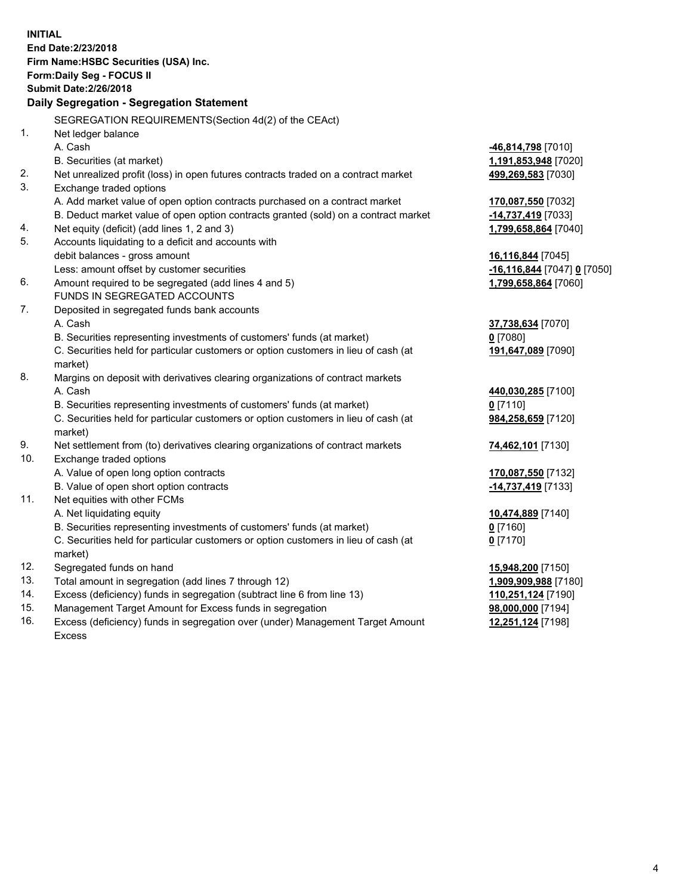**INITIAL End Date:2/23/2018 Firm Name:HSBC Securities (USA) Inc. Form:Daily Seg - FOCUS II Submit Date:2/26/2018 Daily Segregation - Segregation Statement** SEGREGATION REQUIREMENTS(Section 4d(2) of the CEAct) 1. Net ledger balance A. Cash **-46,814,798** [7010] B. Securities (at market) **1,191,853,948** [7020] 2. Net unrealized profit (loss) in open futures contracts traded on a contract market **499,269,583** [7030] 3. Exchange traded options A. Add market value of open option contracts purchased on a contract market **170,087,550** [7032] B. Deduct market value of open option contracts granted (sold) on a contract market **-14,737,419** [7033] 4. Net equity (deficit) (add lines 1, 2 and 3) **1,799,658,864** [7040] 5. Accounts liquidating to a deficit and accounts with debit balances - gross amount **16,116,844** [7045] Less: amount offset by customer securities **-16,116,844** [7047] **0** [7050] 6. Amount required to be segregated (add lines 4 and 5) **1,799,658,864** [7060] FUNDS IN SEGREGATED ACCOUNTS 7. Deposited in segregated funds bank accounts A. Cash **37,738,634** [7070] B. Securities representing investments of customers' funds (at market) **0** [7080] C. Securities held for particular customers or option customers in lieu of cash (at market) **191,647,089** [7090] 8. Margins on deposit with derivatives clearing organizations of contract markets A. Cash **440,030,285** [7100] B. Securities representing investments of customers' funds (at market) **0** [7110] C. Securities held for particular customers or option customers in lieu of cash (at market) **984,258,659** [7120] 9. Net settlement from (to) derivatives clearing organizations of contract markets **74,462,101** [7130] 10. Exchange traded options A. Value of open long option contracts **170,087,550** [7132] B. Value of open short option contracts **-14,737,419** [7133] 11. Net equities with other FCMs A. Net liquidating equity **10,474,889** [7140] B. Securities representing investments of customers' funds (at market) **0** [7160] C. Securities held for particular customers or option customers in lieu of cash (at market) **0** [7170] 12. Segregated funds on hand **15,948,200** [7150] 13. Total amount in segregation (add lines 7 through 12) **1,909,909,988** [7180] 14. Excess (deficiency) funds in segregation (subtract line 6 from line 13) **110,251,124** [7190] 15. Management Target Amount for Excess funds in segregation **98,000,000** [7194] **12,251,124** [7198]

16. Excess (deficiency) funds in segregation over (under) Management Target Amount Excess